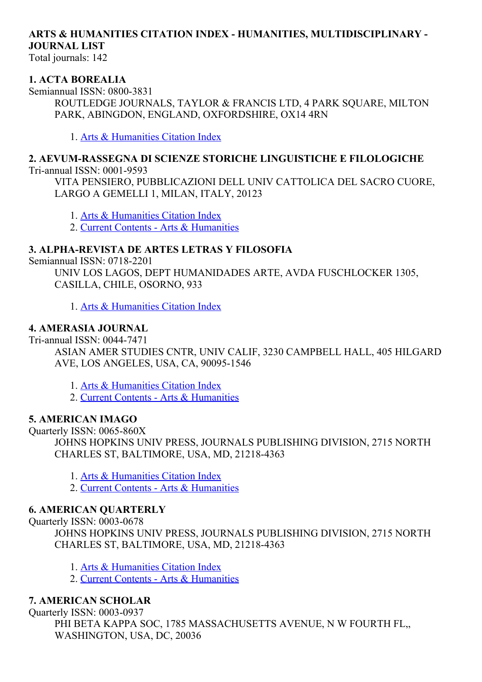# ARTS & HUMANITIES CITATION INDEX - HUMANITIES, MULTIDISCIPLINARY -JOURNAL LIST

Total journals: 142

#### 1. ACTA BOREALIA

Semiannual ISSN: 0800-3831 ROUTLEDGE JOURNALS, TAYLOR & FRANCIS LTD, 4 PARK SQUARE, MILTON PARK, ABINGDON, ENGLAND, OXFORDSHIRE, OX14 4RN

1. Arts & [Humanities](http://thomsonreuters.com/arts-humanities-citation-index) Citation Index

# 2. AEVUM-RASSEGNA DI SCIENZE STORICHE LINGUISTICHE E FILOLOGICHE

Tri-annual ISSN: 0001-9593

VITA PENSIERO, PUBBLICAZIONI DELL UNIV CATTOLICA DEL SACRO CUORE, LARGO A GEMELLI 1, MILAN, ITALY, 20123

1. Arts & [Humanities](http://thomsonreuters.com/arts-humanities-citation-index) Citation Index

2. Current Contents - Arts & [Humanities](http://thomsonreuters.com/current-contents-connect)

#### 3. ALPHA-REVISTA DE ARTES LETRAS Y FILOSOFIA

Semiannual ISSN: 0718-2201

UNIV LOS LAGOS, DEPT HUMANIDADES ARTE, AVDA FUSCHLOCKER 1305, CASILLA, CHILE, OSORNO, 933

1. Arts & [Humanities](http://thomsonreuters.com/arts-humanities-citation-index) Citation Index

### 4. AMERASIA JOURNAL

Tri-annual ISSN: 0044-7471

ASIAN AMER STUDIES CNTR, UNIV CALIF, 3230 CAMPBELL HALL, 405 HILGARD AVE, LOS ANGELES, USA, CA, 90095-1546

1. Arts & [Humanities](http://thomsonreuters.com/arts-humanities-citation-index) Citation Index

2. Current Contents - Arts & [Humanities](http://thomsonreuters.com/current-contents-connect)

### 5. AMERICAN IMAGO

Quarterly ISSN: 0065-860X JOHNS HOPKINS UNIV PRESS, JOURNALS PUBLISHING DIVISION, 2715 NORTH CHARLES ST, BALTIMORE, USA, MD, 21218-4363

1. Arts & [Humanities](http://thomsonreuters.com/arts-humanities-citation-index) Citation Index

2. Current Contents - Arts & [Humanities](http://thomsonreuters.com/current-contents-connect)

#### 6. AMERICAN QUARTERLY

Quarterly ISSN: 0003-0678

JOHNS HOPKINS UNIV PRESS, JOURNALS PUBLISHING DIVISION, 2715 NORTH CHARLES ST, BALTIMORE, USA, MD, 21218-4363

- 1. Arts & [Humanities](http://thomsonreuters.com/arts-humanities-citation-index) Citation Index
- 2. Current Contents Arts & [Humanities](http://thomsonreuters.com/current-contents-connect)

### 7. AMERICAN SCHOLAR

Quarterly ISSN: 0003-0937 PHI BETA KAPPA SOC, 1785 MASSACHUSETTS AVENUE, N W FOURTH FL, WASHINGTON, USA, DC, 20036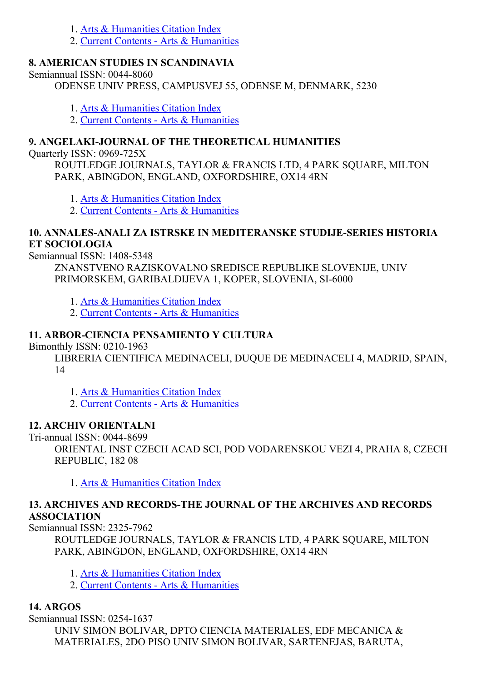- 1. Arts & [Humanities](http://thomsonreuters.com/arts-humanities-citation-index) Citation Index
- 2. Current Contents Arts & [Humanities](http://thomsonreuters.com/current-contents-connect)

### 8. AMERICAN STUDIES IN SCANDINAVIA

Semiannual ISSN: 0044-8060

ODENSE UNIV PRESS, CAMPUSVEJ 55, ODENSE M, DENMARK, 5230

- 1. Arts & [Humanities](http://thomsonreuters.com/arts-humanities-citation-index) Citation Index
- 2. Current Contents Arts & [Humanities](http://thomsonreuters.com/current-contents-connect)

# 9. ANGELAKI-JOURNAL OF THE THEORETICAL HUMANITIES

Quarterly ISSN: 0969-725X

ROUTLEDGE JOURNALS, TAYLOR & FRANCIS LTD, 4 PARK SQUARE, MILTON PARK, ABINGDON, ENGLAND, OXFORDSHIRE, OX14 4RN

1. Arts & [Humanities](http://thomsonreuters.com/arts-humanities-citation-index) Citation Index

2. Current Contents - Arts & [Humanities](http://thomsonreuters.com/current-contents-connect)

### 10. ANNALESANALI ZA ISTRSKE IN MEDITERANSKE STUDIJESERIES HISTORIA ET SOCIOLOGIA

Semiannual ISSN: 1408-5348

ZNANSTVENO RAZISKOVALNO SREDISCE REPUBLIKE SLOVENIJE, UNIV PRIMORSKEM, GARIBALDIJEVA 1, KOPER, SLOVENIA, SI-6000

1. Arts & [Humanities](http://thomsonreuters.com/arts-humanities-citation-index) Citation Index

2. Current Contents Arts & [Humanities](http://thomsonreuters.com/current-contents-connect)

# 11. ARBOR-CIENCIA PENSAMIENTO Y CULTURA

Bimonthly ISSN: 0210-1963

LIBRERIA CIENTIFICA MEDINACELI, DUQUE DE MEDINACELI 4, MADRID, SPAIN, 14

1. Arts & [Humanities](http://thomsonreuters.com/arts-humanities-citation-index) Citation Index

2. Current Contents - Arts & [Humanities](http://thomsonreuters.com/current-contents-connect)

### 12. ARCHIV ORIENTALNI

Tri-annual ISSN: 0044-8699

ORIENTAL INST CZECH ACAD SCI, POD VODARENSKOU VEZI 4, PRAHA 8, CZECH REPUBLIC, 182 08

1. Arts & [Humanities](http://thomsonreuters.com/arts-humanities-citation-index) Citation Index

#### 13. ARCHIVES AND RECORDSTHE JOURNAL OF THE ARCHIVES AND RECORDS ASSOCIATION

Semiannual ISSN: 2325-7962

ROUTLEDGE JOURNALS, TAYLOR & FRANCIS LTD, 4 PARK SQUARE, MILTON PARK, ABINGDON, ENGLAND, OXFORDSHIRE, OX14 4RN

1. Arts & [Humanities](http://thomsonreuters.com/arts-humanities-citation-index) Citation Index

2. Current Contents - Arts & [Humanities](http://thomsonreuters.com/current-contents-connect)

# 14. ARGOS

Semiannual ISSN: 0254-1637 UNIV SIMON BOLIVAR, DPTO CIENCIA MATERIALES, EDF MECANICA & MATERIALES, 2DO PISO UNIV SIMON BOLIVAR, SARTENEJAS, BARUTA,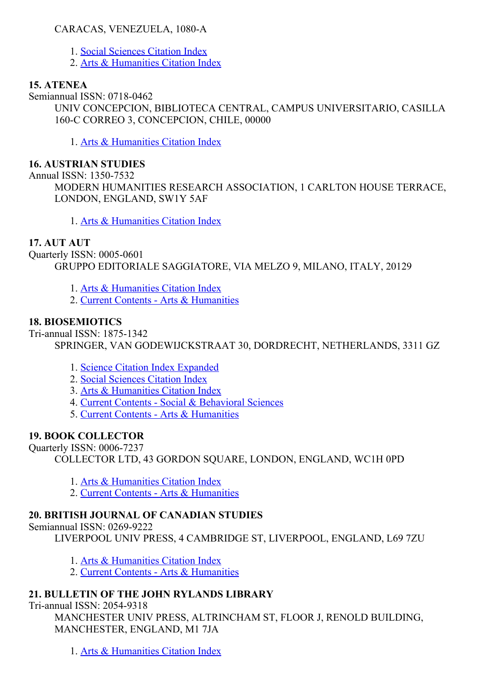### CARACAS, VENEZUELA, 1080-A

- 1. Social [Sciences](http://thomsonreuters.com/social-sciences-citation-index) Citation Index
- 2. Arts & [Humanities](http://thomsonreuters.com/arts-humanities-citation-index) Citation Index

# 15. ATENEA

Semiannual ISSN: 0718-0462 UNIV CONCEPCION, BIBLIOTECA CENTRAL, CAMPUS UNIVERSITARIO, CASILLA 160-C CORREO 3, CONCEPCION, CHILE, 00000

1. Arts & [Humanities](http://thomsonreuters.com/arts-humanities-citation-index) Citation Index

## 16. AUSTRIAN STUDIES

Annual ISSN: 1350-7532

MODERN HUMANITIES RESEARCH ASSOCIATION, 1 CARLTON HOUSE TERRACE, LONDON, ENGLAND, SW1Y 5AF

1. Arts & [Humanities](http://thomsonreuters.com/arts-humanities-citation-index) Citation Index

### 17. AUT AUT

Ouarterly ISSN: 0005-0601 GRUPPO EDITORIALE SAGGIATORE, VIA MELZO 9, MILANO, ITALY, 20129

- 1. Arts & [Humanities](http://thomsonreuters.com/arts-humanities-citation-index) Citation Index
- 2. Current Contents Arts & [Humanities](http://thomsonreuters.com/current-contents-connect)

# 18. BIOSEMIOTICS

Tri-annual ISSN: 1875-1342

SPRINGER, VAN GODEWIJCKSTRAAT 30, DORDRECHT, NETHERLANDS, 3311 GZ

- 1. Science Citation Index [Expanded](http://thomsonreuters.com/science-citation-index-expanded)
- 2. Social [Sciences](http://thomsonreuters.com/social-sciences-citation-index) Citation Index
- 3. Arts & [Humanities](http://thomsonreuters.com/arts-humanities-citation-index) Citation Index
- 4. Current Contents Social & [Behavioral](http://thomsonreuters.com/current-contents-connect/) Sciences
- 5. Current Contents Arts & [Humanities](http://thomsonreuters.com/current-contents-connect)

# 19. BOOK COLLECTOR

Quarterly ISSN: 0006-7237

COLLECTOR LTD, 43 GORDON SQUARE, LONDON, ENGLAND, WC1H 0PD

- 1. Arts & [Humanities](http://thomsonreuters.com/arts-humanities-citation-index) Citation Index
- 2. Current Contents Arts & [Humanities](http://thomsonreuters.com/current-contents-connect)

# 20. BRITISH JOURNAL OF CANADIAN STUDIES

# Semiannual ISSN: 0269-9222

LIVERPOOL UNIV PRESS, 4 CAMBRIDGE ST, LIVERPOOL, ENGLAND, L69 7ZU

- 1. Arts & [Humanities](http://thomsonreuters.com/arts-humanities-citation-index) Citation Index
- 2. Current Contents Arts & [Humanities](http://thomsonreuters.com/current-contents-connect)

# 21. BULLETIN OF THE JOHN RYLANDS LIBRARY

Tri-annual ISSN: 2054-9318

MANCHESTER UNIV PRESS, ALTRINCHAM ST, FLOOR J, RENOLD BUILDING, MANCHESTER, ENGLAND, M1 7JA

1. Arts & [Humanities](http://thomsonreuters.com/arts-humanities-citation-index) Citation Index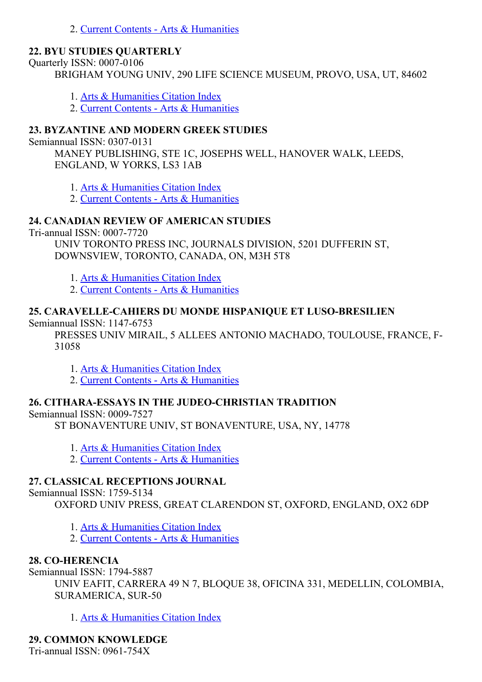2. Current Contents - Arts & [Humanities](http://thomsonreuters.com/current-contents-connect)

#### 22. BYU STUDIES QUARTERLY

Quarterly ISSN: 0007-0106

BRIGHAM YOUNG UNIV, 290 LIFE SCIENCE MUSEUM, PROVO, USA, UT, 84602

- 1. Arts & [Humanities](http://thomsonreuters.com/arts-humanities-citation-index) Citation Index
- 2. Current Contents Arts & [Humanities](http://thomsonreuters.com/current-contents-connect)

## 23. BYZANTINE AND MODERN GREEK STUDIES

Semiannual ISSN: 0307-0131

MANEY PUBLISHING, STE 1C, JOSEPHS WELL, HANOVER WALK, LEEDS, ENGLAND, W YORKS, LS3 1AB

1. Arts & [Humanities](http://thomsonreuters.com/arts-humanities-citation-index) Citation Index

2. Current Contents - Arts & [Humanities](http://thomsonreuters.com/current-contents-connect)

### 24. CANADIAN REVIEW OF AMERICAN STUDIES

Tri-annual ISSN: 0007-7720

UNIV TORONTO PRESS INC, JOURNALS DIVISION, 5201 DUFFERIN ST, DOWNSVIEW, TORONTO, CANADA, ON, M3H 5T8

- 1. Arts & [Humanities](http://thomsonreuters.com/arts-humanities-citation-index) Citation Index
- 2. Current Contents Arts & [Humanities](http://thomsonreuters.com/current-contents-connect)

# 25. CARAVELLE-CAHIERS DU MONDE HISPANIQUE ET LUSO-BRESILIEN

Semiannual ISSN: 1147-6753

PRESSES UNIV MIRAIL, 5 ALLEES ANTONIO MACHADO, TOULOUSE, FRANCE, F-31058

- 1. Arts & [Humanities](http://thomsonreuters.com/arts-humanities-citation-index) Citation Index
- 2. Current Contents Arts & [Humanities](http://thomsonreuters.com/current-contents-connect)

# 26. CITHARA-ESSAYS IN THE JUDEO-CHRISTIAN TRADITION

Semiannual ISSN: 0009-7527

ST BONAVENTURE UNIV, ST BONAVENTURE, USA, NY, 14778

- 1. Arts & [Humanities](http://thomsonreuters.com/arts-humanities-citation-index) Citation Index
- 2. Current Contents Arts & [Humanities](http://thomsonreuters.com/current-contents-connect)

# 27. CLASSICAL RECEPTIONS JOURNAL

Semiannual ISSN: 1759-5134

OXFORD UNIV PRESS, GREAT CLARENDON ST, OXFORD, ENGLAND, OX2 6DP

- 1. Arts & [Humanities](http://thomsonreuters.com/arts-humanities-citation-index) Citation Index
- 2. Current Contents Arts & [Humanities](http://thomsonreuters.com/current-contents-connect)

### 28. CO-HERENCIA

Semiannual ISSN: 1794-5887

UNIV EAFIT, CARRERA 49 N 7, BLOQUE 38, OFICINA 331, MEDELLIN, COLOMBIA, SURAMERICA, SUR-50

1. Arts & [Humanities](http://thomsonreuters.com/arts-humanities-citation-index) Citation Index

29. COMMON KNOWLEDGE

Tri-annual ISSN:  $0961-754X$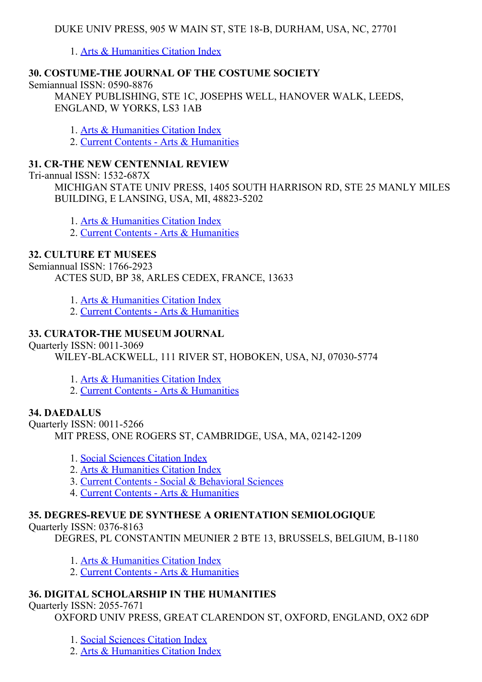1. Arts & [Humanities](http://thomsonreuters.com/arts-humanities-citation-index) Citation Index

# 30. COSTUMETHE JOURNAL OF THE COSTUME SOCIETY

Semiannual ISSN: 0590-8876

MANEY PUBLISHING, STE 1C, JOSEPHS WELL, HANOVER WALK, LEEDS, ENGLAND, W YORKS, LS3 1AB

1. Arts & [Humanities](http://thomsonreuters.com/arts-humanities-citation-index) Citation Index

2. Current Contents - Arts & [Humanities](http://thomsonreuters.com/current-contents-connect)

### 31. CR-THE NEW CENTENNIAL REVIEW

Tri-annual ISSN: 1532-687X

MICHIGAN STATE UNIV PRESS, 1405 SOUTH HARRISON RD, STE 25 MANLY MILES BUILDING, E LANSING, USA, MI, 48823-5202

1. Arts & [Humanities](http://thomsonreuters.com/arts-humanities-citation-index) Citation Index

2. Current Contents - Arts & [Humanities](http://thomsonreuters.com/current-contents-connect)

### 32. CULTURE ET MUSEES

Semiannual ISSN: 1766-2923

ACTES SUD, BP 38, ARLES CEDEX, FRANCE, 13633

1. Arts & [Humanities](http://thomsonreuters.com/arts-humanities-citation-index) Citation Index

2. Current Contents - Arts & [Humanities](http://thomsonreuters.com/current-contents-connect)

### 33. CURATOR-THE MUSEUM JOURNAL

Quarterly ISSN: 0011-3069

WILEY-BLACKWELL, 111 RIVER ST, HOBOKEN, USA, NJ, 07030-5774

1. Arts & [Humanities](http://thomsonreuters.com/arts-humanities-citation-index) Citation Index

2. Current Contents Arts & [Humanities](http://thomsonreuters.com/current-contents-connect)

### 34. DAEDALUS

Quarterly ISSN: 0011-5266 MIT PRESS, ONE ROGERS ST, CAMBRIDGE, USA, MA, 02142-1209

- 1. Social [Sciences](http://thomsonreuters.com/social-sciences-citation-index) Citation Index
- 2. Arts & [Humanities](http://thomsonreuters.com/arts-humanities-citation-index) Citation Index
- 3. Current Contents Social & [Behavioral](http://thomsonreuters.com/current-contents-connect/) Sciences
- 4. Current Contents Arts & [Humanities](http://thomsonreuters.com/current-contents-connect)

# 35. DEGRES-REVUE DE SYNTHESE A ORIENTATION SEMIOLOGIQUE

Ouarterly ISSN:  $0376-8163$ 

DEGRES, PL CONSTANTIN MEUNIER 2 BTE 13, BRUSSELS, BELGIUM, B-1180

- 1. Arts & [Humanities](http://thomsonreuters.com/arts-humanities-citation-index) Citation Index
- 2. Current Contents Arts & [Humanities](http://thomsonreuters.com/current-contents-connect)

# 36. DIGITAL SCHOLARSHIP IN THE HUMANITIES

Quarterly ISSN: 2055-7671

OXFORD UNIV PRESS, GREAT CLARENDON ST, OXFORD, ENGLAND, OX2 6DP

- 1. Social [Sciences](http://thomsonreuters.com/social-sciences-citation-index) Citation Index
- 2. Arts & [Humanities](http://thomsonreuters.com/arts-humanities-citation-index) Citation Index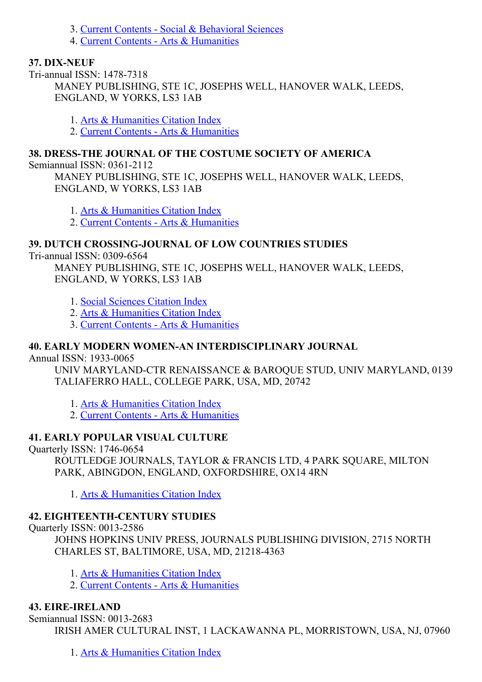3. Current Contents - Social & [Behavioral](http://thomsonreuters.com/current-contents-connect/) Sciences

4. Current Contents - Arts & [Humanities](http://thomsonreuters.com/current-contents-connect)

# 37. DIX-NEUF

Tri-annual ISSN: 1478-7318 MANEY PUBLISHING, STE 1C, JOSEPHS WELL, HANOVER WALK, LEEDS, ENGLAND, W YORKS, LS3 1AB

1. Arts & [Humanities](http://thomsonreuters.com/arts-humanities-citation-index) Citation Index

2. Current Contents - Arts & [Humanities](http://thomsonreuters.com/current-contents-connect)

# 38. DRESSTHE JOURNAL OF THE COSTUME SOCIETY OF AMERICA

Semiannual ISSN:  $0361-2112$ 

MANEY PUBLISHING, STE 1C, JOSEPHS WELL, HANOVER WALK, LEEDS, ENGLAND, W YORKS, LS3 1AB

1. Arts & [Humanities](http://thomsonreuters.com/arts-humanities-citation-index) Citation Index

2. Current Contents - Arts & [Humanities](http://thomsonreuters.com/current-contents-connect)

# 39. DUTCH CROSSING-JOURNAL OF LOW COUNTRIES STUDIES

Tri-annual ISSN: 0309-6564

MANEY PUBLISHING, STE 1C, JOSEPHS WELL, HANOVER WALK, LEEDS, ENGLAND, W YORKS, LS3 1AB

1. Social [Sciences](http://thomsonreuters.com/social-sciences-citation-index) Citation Index

2. Arts & [Humanities](http://thomsonreuters.com/arts-humanities-citation-index) Citation Index

3. Current Contents Arts & [Humanities](http://thomsonreuters.com/current-contents-connect)

# 40. EARLY MODERN WOMEN-AN INTERDISCIPLINARY JOURNAL

Annual ISSN: 1933-0065

UNIV MARYLAND-CTR RENAISSANCE & BAROQUE STUD, UNIV MARYLAND, 0139 TALIAFERRO HALL, COLLEGE PARK, USA, MD, 20742

1. Arts & [Humanities](http://thomsonreuters.com/arts-humanities-citation-index) Citation Index

2. Current Contents - Arts & [Humanities](http://thomsonreuters.com/current-contents-connect)

# 41. EARLY POPULAR VISUAL CULTURE

Quarterly ISSN: 1746-0654

ROUTLEDGE JOURNALS, TAYLOR & FRANCIS LTD, 4 PARK SQUARE, MILTON PARK, ABINGDON, ENGLAND, OXFORDSHIRE, OX14 4RN

1. Arts & [Humanities](http://thomsonreuters.com/arts-humanities-citation-index) Citation Index

# 42. EIGHTEENTH-CENTURY STUDIES

Quarterly ISSN: 0013-2586

JOHNS HOPKINS UNIV PRESS, JOURNALS PUBLISHING DIVISION, 2715 NORTH CHARLES ST, BALTIMORE, USA, MD, 21218-4363

1. Arts & [Humanities](http://thomsonreuters.com/arts-humanities-citation-index) Citation Index

2. Current Contents - Arts & [Humanities](http://thomsonreuters.com/current-contents-connect)

# 43. EIREIRELAND

Semiannual ISSN: 0013-2683 IRISH AMER CULTURAL INST, 1 LACKAWANNA PL, MORRISTOWN, USA, NJ, 07960

1. Arts & [Humanities](http://thomsonreuters.com/arts-humanities-citation-index) Citation Index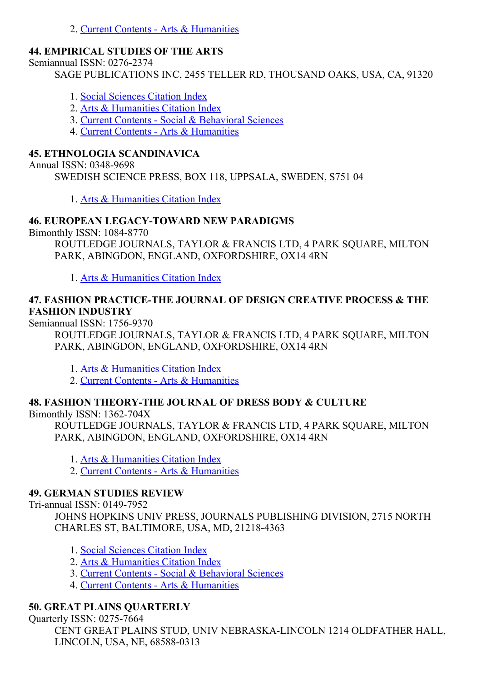2. Current Contents - Arts & [Humanities](http://thomsonreuters.com/current-contents-connect)

# 44. EMPIRICAL STUDIES OF THE ARTS

Semiannual ISSN: 0276-2374

SAGE PUBLICATIONS INC, 2455 TELLER RD, THOUSAND OAKS, USA, CA, 91320

- 1. Social [Sciences](http://thomsonreuters.com/social-sciences-citation-index) Citation Index
- 2. Arts & [Humanities](http://thomsonreuters.com/arts-humanities-citation-index) Citation Index
- 3. Current Contents Social & [Behavioral](http://thomsonreuters.com/current-contents-connect/) Sciences
- 4. Current Contents Arts & [Humanities](http://thomsonreuters.com/current-contents-connect)

## 45. ETHNOLOGIA SCANDINAVICA

Annual ISSN: 0348-9698

SWEDISH SCIENCE PRESS, BOX 118, UPPSALA, SWEDEN, S751 04

1. Arts & [Humanities](http://thomsonreuters.com/arts-humanities-citation-index) Citation Index

# **46. EUROPEAN LEGACY-TOWARD NEW PARADIGMS**

Bimonthly ISSN: 1084-8770

ROUTLEDGE JOURNALS, TAYLOR & FRANCIS LTD, 4 PARK SQUARE, MILTON PARK, ABINGDON, ENGLAND, OXFORDSHIRE, OX14 4RN

1. Arts & [Humanities](http://thomsonreuters.com/arts-humanities-citation-index) Citation Index

### 47. FASHION PRACTICETHE JOURNAL OF DESIGN CREATIVE PROCESS & THE FASHION INDUSTRY

Semiannual ISSN: 1756-9370

ROUTLEDGE JOURNALS, TAYLOR & FRANCIS LTD, 4 PARK SQUARE, MILTON PARK, ABINGDON, ENGLAND, OXFORDSHIRE, OX14 4RN

1. Arts & [Humanities](http://thomsonreuters.com/arts-humanities-citation-index) Citation Index

2. Current Contents - Arts & [Humanities](http://thomsonreuters.com/current-contents-connect)

### 48. FASHION THEORY-THE JOURNAL OF DRESS BODY & CULTURE

Bimonthly ISSN:  $1362-704X$ 

ROUTLEDGE JOURNALS, TAYLOR & FRANCIS LTD, 4 PARK SQUARE, MILTON PARK, ABINGDON, ENGLAND, OXFORDSHIRE, OX14 4RN

1. Arts & [Humanities](http://thomsonreuters.com/arts-humanities-citation-index) Citation Index

2. Current Contents - Arts & [Humanities](http://thomsonreuters.com/current-contents-connect)

### 49. GERMAN STUDIES REVIEW

Tri-annual ISSN: 0149-7952

JOHNS HOPKINS UNIV PRESS, JOURNALS PUBLISHING DIVISION, 2715 NORTH CHARLES ST, BALTIMORE, USA, MD, 21218-4363

- 1. Social [Sciences](http://thomsonreuters.com/social-sciences-citation-index) Citation Index
- 2. Arts & [Humanities](http://thomsonreuters.com/arts-humanities-citation-index) Citation Index
- 3. Current Contents Social & [Behavioral](http://thomsonreuters.com/current-contents-connect/) Sciences
- 4. Current Contents Arts & [Humanities](http://thomsonreuters.com/current-contents-connect)

# 50. GREAT PLAINS QUARTERLY

Ouarterly ISSN: 0275-7664

CENT GREAT PLAINS STUD, UNIV NEBRASKALINCOLN 1214 OLDFATHER HALL, LINCOLN, USA, NE, 68588-0313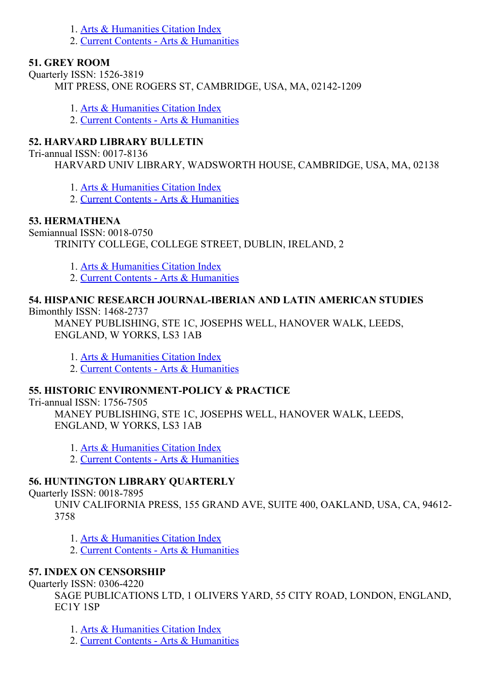- 1. Arts & [Humanities](http://thomsonreuters.com/arts-humanities-citation-index) Citation Index
- 2. Current Contents Arts & [Humanities](http://thomsonreuters.com/current-contents-connect)

#### 51. GREY ROOM

Ouarterly ISSN: 1526-3819

MIT PRESS, ONE ROGERS ST, CAMBRIDGE, USA, MA, 02142-1209

1. Arts & [Humanities](http://thomsonreuters.com/arts-humanities-citation-index) Citation Index

2. Current Contents Arts & [Humanities](http://thomsonreuters.com/current-contents-connect)

### 52. HARVARD LIBRARY BULLETIN

Tri-annual ISSN: 0017-8136

HARVARD UNIV LIBRARY, WADSWORTH HOUSE, CAMBRIDGE, USA, MA, 02138

1. Arts & [Humanities](http://thomsonreuters.com/arts-humanities-citation-index) Citation Index

2. Current Contents - Arts & [Humanities](http://thomsonreuters.com/current-contents-connect)

#### 53. HERMATHENA

Semiannual ISSN: 0018-0750 TRINITY COLLEGE, COLLEGE STREET, DUBLIN, IRELAND, 2

1. Arts & [Humanities](http://thomsonreuters.com/arts-humanities-citation-index) Citation Index

2. Current Contents - Arts & [Humanities](http://thomsonreuters.com/current-contents-connect)

# 54. HISPANIC RESEARCH JOURNALIBERIAN AND LATIN AMERICAN STUDIES

Bimonthly ISSN: 1468-2737

MANEY PUBLISHING, STE 1C, JOSEPHS WELL, HANOVER WALK, LEEDS, ENGLAND, W YORKS, LS3 1AB

1. Arts & [Humanities](http://thomsonreuters.com/arts-humanities-citation-index) Citation Index

2. Current Contents - Arts & [Humanities](http://thomsonreuters.com/current-contents-connect)

#### 55. HISTORIC ENVIRONMENT-POLICY & PRACTICE

Tri-annual ISSN: 1756-7505

MANEY PUBLISHING, STE 1C, JOSEPHS WELL, HANOVER WALK, LEEDS, ENGLAND, W YORKS, LS3 1AB

1. Arts & [Humanities](http://thomsonreuters.com/arts-humanities-citation-index) Citation Index

2. Current Contents - Arts & [Humanities](http://thomsonreuters.com/current-contents-connect)

### 56. HUNTINGTON LIBRARY QUARTERLY

Ouarterly ISSN: 0018-7895

UNIV CALIFORNIA PRESS, 155 GRAND AVE, SUITE 400, OAKLAND, USA, CA, 94612 3758

1. Arts & [Humanities](http://thomsonreuters.com/arts-humanities-citation-index) Citation Index

2. Current Contents - Arts & [Humanities](http://thomsonreuters.com/current-contents-connect)

### 57. INDEX ON CENSORSHIP

Quarterly ISSN: 0306-4220

SAGE PUBLICATIONS LTD, 1 OLIVERS YARD, 55 CITY ROAD, LONDON, ENGLAND, EC1Y 1SP

1. Arts & [Humanities](http://thomsonreuters.com/arts-humanities-citation-index) Citation Index

2. Current Contents - Arts & [Humanities](http://thomsonreuters.com/current-contents-connect)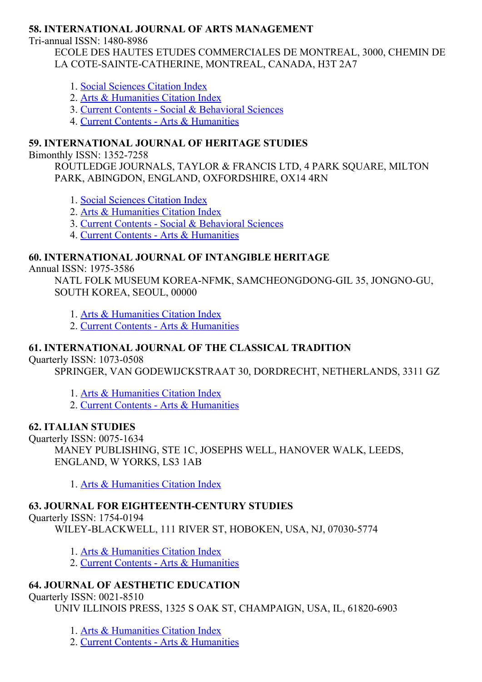### 58. INTERNATIONAL JOURNAL OF ARTS MANAGEMENT

Tri-annual ISSN: 1480-8986

ECOLE DES HAUTES ETUDES COMMERCIALES DE MONTREAL, 3000, CHEMIN DE LA COTE-SAINTE-CATHERINE, MONTREAL, CANADA, H3T 2A7

- 1. Social [Sciences](http://thomsonreuters.com/social-sciences-citation-index) Citation Index
- 2. Arts & [Humanities](http://thomsonreuters.com/arts-humanities-citation-index) Citation Index
- 3. Current Contents Social & [Behavioral](http://thomsonreuters.com/current-contents-connect/) Sciences
- 4. Current Contents Arts & [Humanities](http://thomsonreuters.com/current-contents-connect)

### 59. INTERNATIONAL JOURNAL OF HERITAGE STUDIES

Bimonthly ISSN: 1352-7258

ROUTLEDGE JOURNALS, TAYLOR & FRANCIS LTD, 4 PARK SQUARE, MILTON PARK, ABINGDON, ENGLAND, OXFORDSHIRE, OX14 4RN

1. Social [Sciences](http://thomsonreuters.com/social-sciences-citation-index) Citation Index

- 2. Arts & [Humanities](http://thomsonreuters.com/arts-humanities-citation-index) Citation Index
- 3. Current Contents Social & [Behavioral](http://thomsonreuters.com/current-contents-connect/) Sciences
- 4. Current Contents Arts & [Humanities](http://thomsonreuters.com/current-contents-connect)

#### 60. INTERNATIONAL JOURNAL OF INTANGIBLE HERITAGE

Annual ISSN: 1975-3586

NATL FOLK MUSEUM KOREA-NFMK, SAMCHEONGDONG-GIL 35, JONGNO-GU, SOUTH KOREA, SEOUL, 00000

- 1. Arts & [Humanities](http://thomsonreuters.com/arts-humanities-citation-index) Citation Index
- 2. Current Contents Arts & [Humanities](http://thomsonreuters.com/current-contents-connect)

### 61. INTERNATIONAL JOURNAL OF THE CLASSICAL TRADITION

**Ouarterly ISSN: 1073-0508** 

SPRINGER, VAN GODEWIJCKSTRAAT 30, DORDRECHT, NETHERLANDS, 3311 GZ

- 1. Arts & [Humanities](http://thomsonreuters.com/arts-humanities-citation-index) Citation Index
- 2. Current Contents Arts & [Humanities](http://thomsonreuters.com/current-contents-connect)

#### 62. ITALIAN STUDIES

Quarterly ISSN: 0075-1634 MANEY PUBLISHING, STE 1C, JOSEPHS WELL, HANOVER WALK, LEEDS, ENGLAND, W YORKS, LS3 1AB

1. Arts & [Humanities](http://thomsonreuters.com/arts-humanities-citation-index) Citation Index

# 63. JOURNAL FOR EIGHTEENTH-CENTURY STUDIES

Ouarterly ISSN: 1754-0194

WILEY-BLACKWELL, 111 RIVER ST, HOBOKEN, USA, NJ, 07030-5774

- 1. Arts & [Humanities](http://thomsonreuters.com/arts-humanities-citation-index) Citation Index
- 2. Current Contents Arts & [Humanities](http://thomsonreuters.com/current-contents-connect)

# 64. JOURNAL OF AESTHETIC EDUCATION

# Quarterly ISSN: 0021-8510

UNIV ILLINOIS PRESS, 1325 S OAK ST, CHAMPAIGN, USA, IL, 61820-6903

1. Arts & [Humanities](http://thomsonreuters.com/arts-humanities-citation-index) Citation Index

2. Current Contents Arts & [Humanities](http://thomsonreuters.com/current-contents-connect)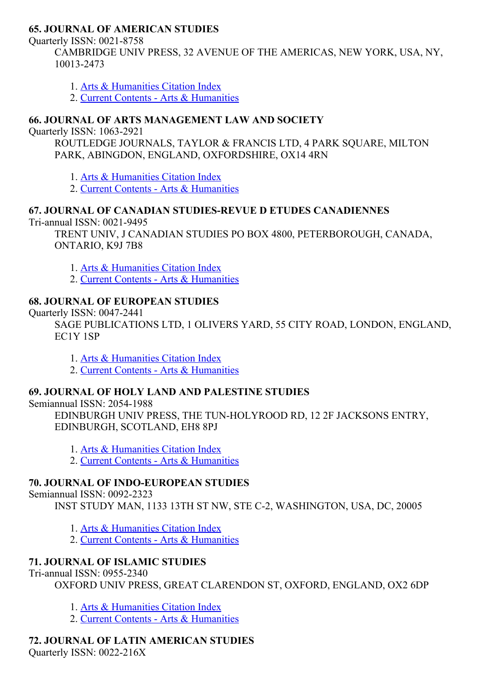#### 65. JOURNAL OF AMERICAN STUDIES

Quarterly ISSN: 0021-8758

CAMBRIDGE UNIV PRESS, 32 AVENUE OF THE AMERICAS, NEW YORK, USA, NY, 100132473

- 1. Arts & [Humanities](http://thomsonreuters.com/arts-humanities-citation-index) Citation Index
- 2. Current Contents Arts & [Humanities](http://thomsonreuters.com/current-contents-connect)

## 66. JOURNAL OF ARTS MANAGEMENT LAW AND SOCIETY

Ouarterly ISSN: 1063-2921

ROUTLEDGE JOURNALS, TAYLOR & FRANCIS LTD, 4 PARK SQUARE, MILTON PARK, ABINGDON, ENGLAND, OXFORDSHIRE, OX14 4RN

1. Arts & [Humanities](http://thomsonreuters.com/arts-humanities-citation-index) Citation Index

2. Current Contents - Arts & [Humanities](http://thomsonreuters.com/current-contents-connect)

# 67. JOURNAL OF CANADIAN STUDIES-REVUE D ETUDES CANADIENNES

Tri-annual ISSN: 0021-9495

TRENT UNIV, J CANADIAN STUDIES PO BOX 4800, PETERBOROUGH, CANADA, ONTARIO, K9J 7B8

- 1. Arts & [Humanities](http://thomsonreuters.com/arts-humanities-citation-index) Citation Index
- 2. Current Contents Arts & [Humanities](http://thomsonreuters.com/current-contents-connect)

# 68. JOURNAL OF EUROPEAN STUDIES

#### Ouarterly ISSN: 0047-2441

SAGE PUBLICATIONS LTD, 1 OLIVERS YARD, 55 CITY ROAD, LONDON, ENGLAND, EC1Y 1SP

- 1. Arts & [Humanities](http://thomsonreuters.com/arts-humanities-citation-index) Citation Index
- 2. Current Contents Arts & [Humanities](http://thomsonreuters.com/current-contents-connect)

# 69. JOURNAL OF HOLY LAND AND PALESTINE STUDIES

Semiannual ISSN: 2054-1988

EDINBURGH UNIV PRESS, THE TUN-HOLYROOD RD, 12 2F JACKSONS ENTRY, EDINBURGH, SCOTLAND, EH8 8PJ

- 1. Arts & [Humanities](http://thomsonreuters.com/arts-humanities-citation-index) Citation Index
- 2. Current Contents Arts & [Humanities](http://thomsonreuters.com/current-contents-connect)

# **70. JOURNAL OF INDO-EUROPEAN STUDIES**

Semiannual ISSN: 0092-2323

INST STUDY MAN, 1133 13TH ST NW, STE C2, WASHINGTON, USA, DC, 20005

- 1. Arts & [Humanities](http://thomsonreuters.com/arts-humanities-citation-index) Citation Index
- 2. Current Contents Arts & [Humanities](http://thomsonreuters.com/current-contents-connect)

# 71. JOURNAL OF ISLAMIC STUDIES

Tri-annual ISSN: 0955-2340

OXFORD UNIV PRESS, GREAT CLARENDON ST, OXFORD, ENGLAND, OX2 6DP

- 1. Arts & [Humanities](http://thomsonreuters.com/arts-humanities-citation-index) Citation Index
- 2. Current Contents Arts & [Humanities](http://thomsonreuters.com/current-contents-connect)

# 72. JOURNAL OF LATIN AMERICAN STUDIES

Quarterly ISSN: 0022-216X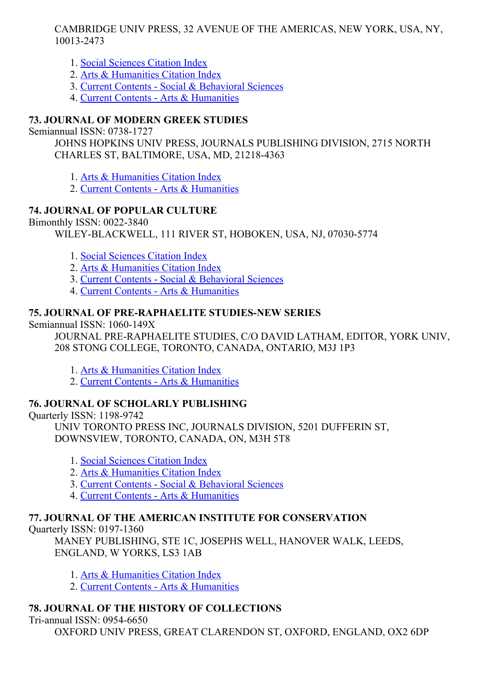CAMBRIDGE UNIV PRESS, 32 AVENUE OF THE AMERICAS, NEW YORK, USA, NY, 100132473

- 1. Social [Sciences](http://thomsonreuters.com/social-sciences-citation-index) Citation Index
- 2. Arts & [Humanities](http://thomsonreuters.com/arts-humanities-citation-index) Citation Index
- 3. Current Contents Social & [Behavioral](http://thomsonreuters.com/current-contents-connect/) Sciences
- 4. Current Contents Arts & [Humanities](http://thomsonreuters.com/current-contents-connect)

# 73. JOURNAL OF MODERN GREEK STUDIES

Semiannual ISSN: 0738-1727

JOHNS HOPKINS UNIV PRESS, JOURNALS PUBLISHING DIVISION, 2715 NORTH CHARLES ST, BALTIMORE, USA, MD, 21218-4363

- 1. Arts & [Humanities](http://thomsonreuters.com/arts-humanities-citation-index) Citation Index
- 2. Current Contents Arts & [Humanities](http://thomsonreuters.com/current-contents-connect)

# 74. JOURNAL OF POPULAR CULTURE

Bimonthly ISSN: 0022-3840

WILEY-BLACKWELL, 111 RIVER ST, HOBOKEN, USA, NJ, 07030-5774

- 1. Social [Sciences](http://thomsonreuters.com/social-sciences-citation-index) Citation Index
- 2. Arts & [Humanities](http://thomsonreuters.com/arts-humanities-citation-index) Citation Index
- 3. Current Contents Social & [Behavioral](http://thomsonreuters.com/current-contents-connect/) Sciences
- 4. Current Contents Arts & [Humanities](http://thomsonreuters.com/current-contents-connect)

# 75. JOURNAL OF PRE-RAPHAELITE STUDIES-NEW SERIES

Semiannual ISSN: 1060-149X

JOURNAL PRE-RAPHAELITE STUDIES, C/O DAVID LATHAM, EDITOR, YORK UNIV, 208 STONG COLLEGE, TORONTO, CANADA, ONTARIO, M3J 1P3

- 1. Arts & [Humanities](http://thomsonreuters.com/arts-humanities-citation-index) Citation Index
- 2. Current Contents Arts & [Humanities](http://thomsonreuters.com/current-contents-connect)

# 76. JOURNAL OF SCHOLARLY PUBLISHING

Quarterly ISSN: 1198-9742

UNIV TORONTO PRESS INC, JOURNALS DIVISION, 5201 DUFFERIN ST, DOWNSVIEW, TORONTO, CANADA, ON, M3H 5T8

- 1. Social [Sciences](http://thomsonreuters.com/social-sciences-citation-index) Citation Index
- 2. Arts & [Humanities](http://thomsonreuters.com/arts-humanities-citation-index) Citation Index
- 3. Current Contents Social & [Behavioral](http://thomsonreuters.com/current-contents-connect/) Sciences
- 4. Current Contents Arts & [Humanities](http://thomsonreuters.com/current-contents-connect)

# 77. JOURNAL OF THE AMERICAN INSTITUTE FOR CONSERVATION

Quarterly ISSN: 0197-1360

MANEY PUBLISHING, STE 1C, JOSEPHS WELL, HANOVER WALK, LEEDS, ENGLAND, W YORKS, LS3 1AB

- 1. Arts & [Humanities](http://thomsonreuters.com/arts-humanities-citation-index) Citation Index
- 2. Current Contents Arts & [Humanities](http://thomsonreuters.com/current-contents-connect)

# 78. JOURNAL OF THE HISTORY OF COLLECTIONS

Tri-annual ISSN: 0954-6650

OXFORD UNIV PRESS, GREAT CLARENDON ST, OXFORD, ENGLAND, OX2 6DP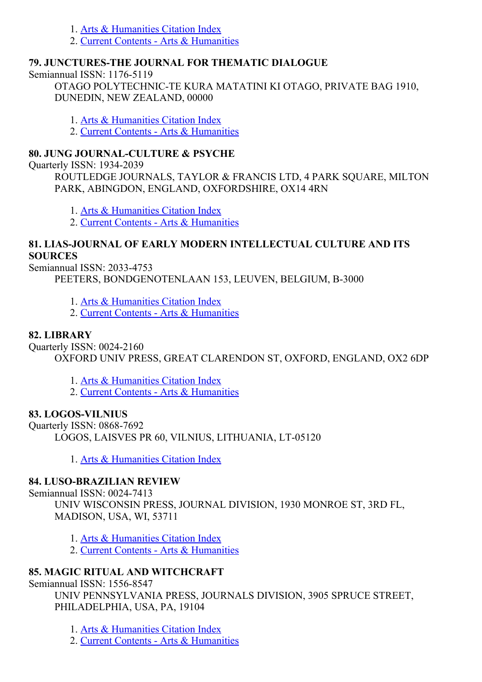- 1. Arts & [Humanities](http://thomsonreuters.com/arts-humanities-citation-index) Citation Index
- 2. Current Contents Arts & [Humanities](http://thomsonreuters.com/current-contents-connect)

## 79. JUNCTURESTHE JOURNAL FOR THEMATIC DIALOGUE

Semiannual ISSN: 1176-5119

OTAGO POLYTECHNIC-TE KURA MATATINI KI OTAGO, PRIVATE BAG 1910, DUNEDIN, NEW ZEALAND, 00000

1. Arts & [Humanities](http://thomsonreuters.com/arts-humanities-citation-index) Citation Index

2. Current Contents - Arts & [Humanities](http://thomsonreuters.com/current-contents-connect)

# 80. JUNG JOURNAL-CULTURE & PSYCHE

Quarterly ISSN: 1934-2039

ROUTLEDGE JOURNALS, TAYLOR & FRANCIS LTD, 4 PARK SQUARE, MILTON PARK, ABINGDON, ENGLAND, OXFORDSHIRE, OX14 4RN

1. Arts & [Humanities](http://thomsonreuters.com/arts-humanities-citation-index) Citation Index

2. Current Contents Arts & [Humanities](http://thomsonreuters.com/current-contents-connect)

## 81. LIAS-JOURNAL OF EARLY MODERN INTELLECTUAL CULTURE AND ITS **SOURCES**

Semiannual ISSN: 2033-4753

PEETERS, BONDGENOTENLAAN 153, LEUVEN, BELGIUM, B-3000

- 1. Arts & [Humanities](http://thomsonreuters.com/arts-humanities-citation-index) Citation Index
- 2. Current Contents Arts & [Humanities](http://thomsonreuters.com/current-contents-connect)

# 82. LIBRARY

Quarterly ISSN: 0024-2160

OXFORD UNIV PRESS, GREAT CLARENDON ST, OXFORD, ENGLAND, OX2 6DP

1. Arts & [Humanities](http://thomsonreuters.com/arts-humanities-citation-index) Citation Index

2. Current Contents - Arts & [Humanities](http://thomsonreuters.com/current-contents-connect)

# 83. LOGOS-VILNIUS

Ouarterly ISSN: 0868-7692 LOGOS, LAISVES PR 60, VILNIUS, LITHUANIA, LT-05120

1. Arts & [Humanities](http://thomsonreuters.com/arts-humanities-citation-index) Citation Index

# 84. LUSO-BRAZILIAN REVIEW

Semiannual ISSN: 0024-7413

UNIV WISCONSIN PRESS, JOURNAL DIVISION, 1930 MONROE ST, 3RD FL, MADISON, USA, WI, 53711

1. Arts & [Humanities](http://thomsonreuters.com/arts-humanities-citation-index) Citation Index

2. Current Contents - Arts & [Humanities](http://thomsonreuters.com/current-contents-connect)

# 85. MAGIC RITUAL AND WITCHCRAFT

Semiannual ISSN: 1556-8547

UNIV PENNSYLVANIA PRESS, JOURNALS DIVISION, 3905 SPRUCE STREET, PHILADELPHIA, USA, PA, 19104

1. Arts & [Humanities](http://thomsonreuters.com/arts-humanities-citation-index) Citation Index

2. Current Contents - Arts & [Humanities](http://thomsonreuters.com/current-contents-connect)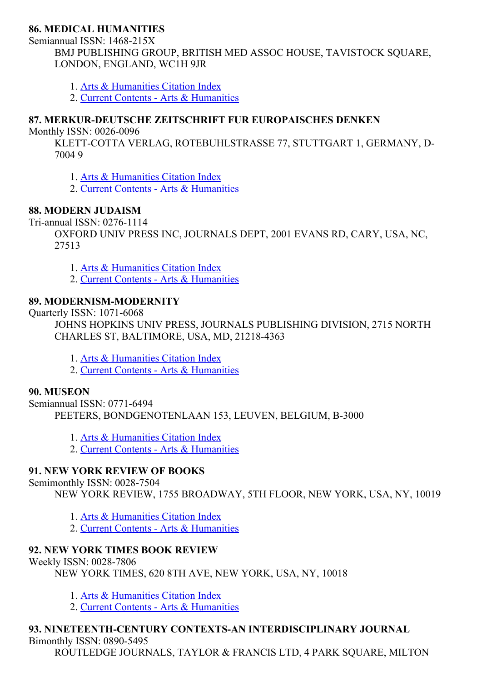#### 86. MEDICAL HUMANITIES

Semiannual ISSN: 1468-215X

BMJ PUBLISHING GROUP, BRITISH MED ASSOC HOUSE, TAVISTOCK SQUARE, LONDON, ENGLAND, WC1H 9JR

- 1. Arts & [Humanities](http://thomsonreuters.com/arts-humanities-citation-index) Citation Index
- 2. Current Contents Arts & [Humanities](http://thomsonreuters.com/current-contents-connect)

### 87. MERKUR-DEUTSCHE ZEITSCHRIFT FUR EUROPAISCHES DENKEN

Monthly ISSN: 0026-0096

KLETT-COTTA VERLAG, ROTEBUHLSTRASSE 77, STUTTGART 1, GERMANY, D-7004 9

- 1. Arts & [Humanities](http://thomsonreuters.com/arts-humanities-citation-index) Citation Index
- 2. Current Contents Arts & [Humanities](http://thomsonreuters.com/current-contents-connect)

### 88. MODERN JUDAISM

Tri-annual ISSN: 0276-1114

OXFORD UNIV PRESS INC, JOURNALS DEPT, 2001 EVANS RD, CARY, USA, NC, 27513

- 1. Arts & [Humanities](http://thomsonreuters.com/arts-humanities-citation-index) Citation Index
- 2. Current Contents Arts & [Humanities](http://thomsonreuters.com/current-contents-connect)

#### 89. MODERNISM-MODERNITY

Ouarterly ISSN: 1071-6068

JOHNS HOPKINS UNIV PRESS, JOURNALS PUBLISHING DIVISION, 2715 NORTH CHARLES ST, BALTIMORE, USA, MD, 21218-4363

- 1. Arts & [Humanities](http://thomsonreuters.com/arts-humanities-citation-index) Citation Index
- 2. Current Contents Arts & [Humanities](http://thomsonreuters.com/current-contents-connect)

#### 90. MUSEON

Semiannual ISSN: 0771-6494 PEETERS, BONDGENOTENLAAN 153, LEUVEN, BELGIUM, B-3000

- 1. Arts & [Humanities](http://thomsonreuters.com/arts-humanities-citation-index) Citation Index
- 2. Current Contents Arts & [Humanities](http://thomsonreuters.com/current-contents-connect)

### 91. NEW YORK REVIEW OF BOOKS

Semimonthly ISSN: 0028-7504

NEW YORK REVIEW, 1755 BROADWAY, 5TH FLOOR, NEW YORK, USA, NY, 10019

- 1. Arts & [Humanities](http://thomsonreuters.com/arts-humanities-citation-index) Citation Index
- 2. Current Contents Arts & [Humanities](http://thomsonreuters.com/current-contents-connect)

### 92. NEW YORK TIMES BOOK REVIEW

Weekly ISSN: 0028-7806

NEW YORK TIMES, 620 8TH AVE, NEW YORK, USA, NY, 10018

- 1. Arts & [Humanities](http://thomsonreuters.com/arts-humanities-citation-index) Citation Index
- 2. Current Contents Arts & [Humanities](http://thomsonreuters.com/current-contents-connect)

# 93. NINETEENTH-CENTURY CONTEXTS-AN INTERDISCIPLINARY JOURNAL

Bimonthly ISSN: 0890-5495

ROUTLEDGE JOURNALS, TAYLOR & FRANCIS LTD, 4 PARK SQUARE, MILTON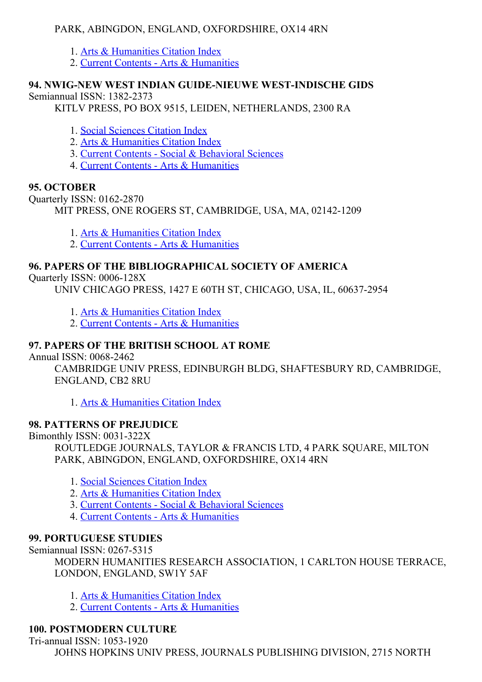## PARK, ABINGDON, ENGLAND, OXFORDSHIRE, OX14 4RN

- 1. Arts & [Humanities](http://thomsonreuters.com/arts-humanities-citation-index) Citation Index
- 2. Current Contents Arts & [Humanities](http://thomsonreuters.com/current-contents-connect)

#### 94. NWIG-NEW WEST INDIAN GUIDE-NIEUWE WEST-INDISCHE GIDS Semiannual ISSN: 1382-2373

KITLV PRESS, PO BOX 9515, LEIDEN, NETHERLANDS, 2300 RA

1. Social [Sciences](http://thomsonreuters.com/social-sciences-citation-index) Citation Index

- 2. Arts & [Humanities](http://thomsonreuters.com/arts-humanities-citation-index) Citation Index
- 3. Current Contents Social & [Behavioral](http://thomsonreuters.com/current-contents-connect/) Sciences
- 4. Current Contents Arts & [Humanities](http://thomsonreuters.com/current-contents-connect)

#### 95. OCTOBER

Quarterly ISSN: 0162-2870

MIT PRESS, ONE ROGERS ST, CAMBRIDGE, USA, MA, 02142-1209

1. Arts & [Humanities](http://thomsonreuters.com/arts-humanities-citation-index) Citation Index

2. Current Contents - Arts & [Humanities](http://thomsonreuters.com/current-contents-connect)

### 96. PAPERS OF THE BIBLIOGRAPHICAL SOCIETY OF AMERICA

Quarterly ISSN: 0006-128X

UNIV CHICAGO PRESS, 1427 E 60TH ST, CHICAGO, USA, IL, 60637-2954

1. Arts & [Humanities](http://thomsonreuters.com/arts-humanities-citation-index) Citation Index

2. Current Contents - Arts & [Humanities](http://thomsonreuters.com/current-contents-connect)

## 97. PAPERS OF THE BRITISH SCHOOL AT ROME

Annual ISSN: 0068-2462

CAMBRIDGE UNIV PRESS, EDINBURGH BLDG, SHAFTESBURY RD, CAMBRIDGE, ENGLAND, CB2 8RU

1. Arts & [Humanities](http://thomsonreuters.com/arts-humanities-citation-index) Citation Index

### 98. PATTERNS OF PREJUDICE

Bimonthly ISSN: 0031-322X ROUTLEDGE JOURNALS, TAYLOR & FRANCIS LTD, 4 PARK SQUARE, MILTON PARK, ABINGDON, ENGLAND, OXFORDSHIRE, OX14 4RN

- 1. Social [Sciences](http://thomsonreuters.com/social-sciences-citation-index) Citation Index
- 2. Arts & [Humanities](http://thomsonreuters.com/arts-humanities-citation-index) Citation Index
- 3. Current Contents Social & [Behavioral](http://thomsonreuters.com/current-contents-connect/) Sciences
- 4. Current Contents Arts & [Humanities](http://thomsonreuters.com/current-contents-connect)

### 99. PORTUGUESE STUDIES

Semiannual ISSN: 0267-5315

MODERN HUMANITIES RESEARCH ASSOCIATION, 1 CARLTON HOUSE TERRACE, LONDON, ENGLAND, SW1Y 5AF

- 1. Arts & [Humanities](http://thomsonreuters.com/arts-humanities-citation-index) Citation Index
- 2. Current Contents Arts & [Humanities](http://thomsonreuters.com/current-contents-connect)

# 100. POSTMODERN CULTURE

Tri-annual ISSN: 1053-1920 JOHNS HOPKINS UNIV PRESS, JOURNALS PUBLISHING DIVISION, 2715 NORTH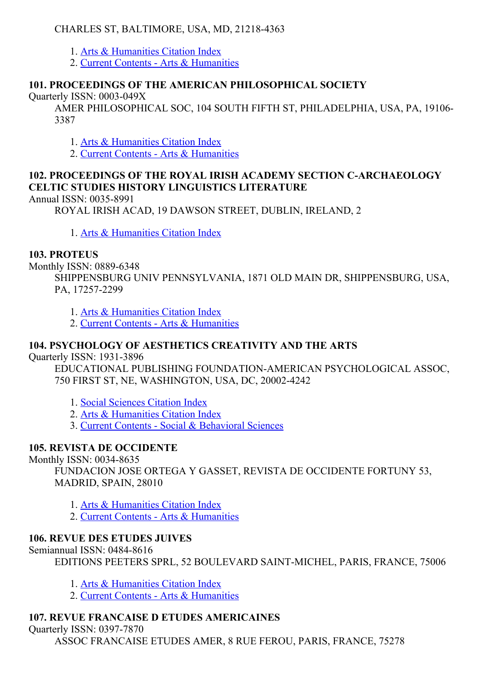### CHARLES ST, BALTIMORE, USA, MD, 21218-4363

- 1. Arts & [Humanities](http://thomsonreuters.com/arts-humanities-citation-index) Citation Index
- 2. Current Contents Arts & [Humanities](http://thomsonreuters.com/current-contents-connect)

# 101. PROCEEDINGS OF THE AMERICAN PHILOSOPHICAL SOCIETY

Quarterly ISSN: 0003-049X

AMER PHILOSOPHICAL SOC, 104 SOUTH FIFTH ST, PHILADELPHIA, USA, PA, 19106 3387

- 1. Arts & [Humanities](http://thomsonreuters.com/arts-humanities-citation-index) Citation Index
- 2. Current Contents Arts & [Humanities](http://thomsonreuters.com/current-contents-connect)

# 102. PROCEEDINGS OF THE ROYAL IRISH ACADEMY SECTION CARCHAEOLOGY CELTIC STUDIES HISTORY LINGUISTICS LITERATURE

Annual ISSN: 0035-8991

ROYAL IRISH ACAD, 19 DAWSON STREET, DUBLIN, IRELAND, 2

1. Arts & [Humanities](http://thomsonreuters.com/arts-humanities-citation-index) Citation Index

### 103. PROTEUS

Monthly ISSN: 0889-6348

SHIPPENSBURG UNIV PENNSYLVANIA, 1871 OLD MAIN DR, SHIPPENSBURG, USA, PA, 17257-2299

1. Arts & [Humanities](http://thomsonreuters.com/arts-humanities-citation-index) Citation Index

2. Current Contents - Arts & [Humanities](http://thomsonreuters.com/current-contents-connect)

# 104. PSYCHOLOGY OF AESTHETICS CREATIVITY AND THE ARTS

Ouarterly ISSN: 1931-3896

EDUCATIONAL PUBLISHING FOUNDATION-AMERICAN PSYCHOLOGICAL ASSOC, 750 FIRST ST, NE, WASHINGTON, USA, DC, 20002-4242

- 1. Social [Sciences](http://thomsonreuters.com/social-sciences-citation-index) Citation Index
- 2. Arts & [Humanities](http://thomsonreuters.com/arts-humanities-citation-index) Citation Index
- 3. Current Contents Social & [Behavioral](http://thomsonreuters.com/current-contents-connect/) Sciences

# 105. REVISTA DE OCCIDENTE

Monthly ISSN: 0034-8635

FUNDACION JOSE ORTEGA Y GASSET, REVISTA DE OCCIDENTE FORTUNY 53, MADRID, SPAIN, 28010

1. Arts & [Humanities](http://thomsonreuters.com/arts-humanities-citation-index) Citation Index

2. Current Contents - Arts & [Humanities](http://thomsonreuters.com/current-contents-connect)

### 106. REVUE DES ETUDES JUIVES

Semiannual ISSN: 0484-8616

EDITIONS PEETERS SPRL, 52 BOULEVARD SAINT-MICHEL, PARIS, FRANCE, 75006

- 1. Arts & [Humanities](http://thomsonreuters.com/arts-humanities-citation-index) Citation Index
- 2. Current Contents Arts & [Humanities](http://thomsonreuters.com/current-contents-connect)

# 107. REVUE FRANCAISE D ETUDES AMERICAINES

Quarterly ISSN: 0397-7870

ASSOC FRANCAISE ETUDES AMER, 8 RUE FEROU, PARIS, FRANCE, 75278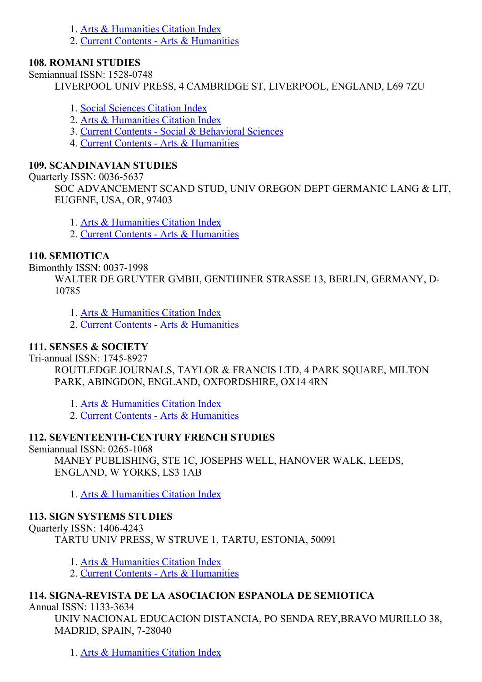- 1. Arts & [Humanities](http://thomsonreuters.com/arts-humanities-citation-index) Citation Index
- 2. Current Contents Arts & [Humanities](http://thomsonreuters.com/current-contents-connect)

# 108. ROMANI STUDIES

Semiannual ISSN: 1528-0748

LIVERPOOL UNIV PRESS, 4 CAMBRIDGE ST, LIVERPOOL, ENGLAND, L69 7ZU

- 1. Social [Sciences](http://thomsonreuters.com/social-sciences-citation-index) Citation Index
- 2. Arts & [Humanities](http://thomsonreuters.com/arts-humanities-citation-index) Citation Index
- 3. Current Contents Social & [Behavioral](http://thomsonreuters.com/current-contents-connect/) Sciences
- 4. Current Contents Arts & [Humanities](http://thomsonreuters.com/current-contents-connect)

# 109. SCANDINAVIAN STUDIES

Ouarterly ISSN: 0036-5637

SOC ADVANCEMENT SCAND STUD, UNIV OREGON DEPT GERMANIC LANG & LIT, EUGENE, USA, OR, 97403

- 1. Arts & [Humanities](http://thomsonreuters.com/arts-humanities-citation-index) Citation Index
- 2. Current Contents Arts & [Humanities](http://thomsonreuters.com/current-contents-connect)

# 110. SEMIOTICA

Bimonthly ISSN: 0037-1998

WALTER DE GRUYTER GMBH, GENTHINER STRASSE 13, BERLIN, GERMANY, D-10785

1. Arts & [Humanities](http://thomsonreuters.com/arts-humanities-citation-index) Citation Index

2. Current Contents - Arts & [Humanities](http://thomsonreuters.com/current-contents-connect)

### 111. SENSES & SOCIETY

Tri-annual ISSN: 1745-8927

ROUTLEDGE JOURNALS, TAYLOR & FRANCIS LTD, 4 PARK SQUARE, MILTON PARK, ABINGDON, ENGLAND, OXFORDSHIRE, OX14 4RN

- 1. Arts & [Humanities](http://thomsonreuters.com/arts-humanities-citation-index) Citation Index
- 2. Current Contents Arts & [Humanities](http://thomsonreuters.com/current-contents-connect)

# 112. SEVENTEENTH-CENTURY FRENCH STUDIES

Semiannual ISSN: 0265-1068

MANEY PUBLISHING, STE 1C, JOSEPHS WELL, HANOVER WALK, LEEDS, ENGLAND, W YORKS, LS3 1AB

1. Arts & [Humanities](http://thomsonreuters.com/arts-humanities-citation-index) Citation Index

# 113. SIGN SYSTEMS STUDIES

Quarterly ISSN: 1406-4243

TARTU UNIV PRESS, W STRUVE 1, TARTU, ESTONIA, 50091

1. Arts & [Humanities](http://thomsonreuters.com/arts-humanities-citation-index) Citation Index

2. Current Contents - Arts & [Humanities](http://thomsonreuters.com/current-contents-connect)

# 114. SIGNAREVISTA DE LA ASOCIACION ESPANOLA DE SEMIOTICA

Annual ISSN: 1133-3634

UNIV NACIONAL EDUCACION DISTANCIA, PO SENDA REY,BRAVO MURILLO 38, MADRID, SPAIN, 7-28040

1. Arts & [Humanities](http://thomsonreuters.com/arts-humanities-citation-index) Citation Index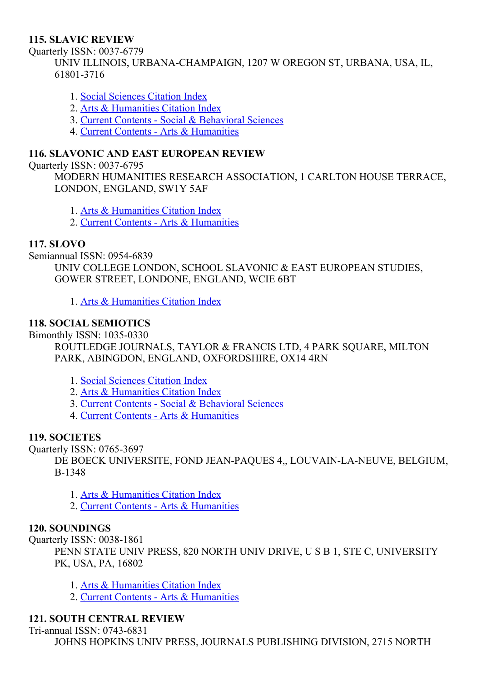#### 115. SLAVIC REVIEW

Ouarterly ISSN: 0037-6779

UNIV ILLINOIS, URBANA-CHAMPAIGN, 1207 W OREGON ST, URBANA, USA, IL, 618013716

- 1. Social [Sciences](http://thomsonreuters.com/social-sciences-citation-index) Citation Index
- 2. Arts & [Humanities](http://thomsonreuters.com/arts-humanities-citation-index) Citation Index
- 3. Current Contents Social & [Behavioral](http://thomsonreuters.com/current-contents-connect/) Sciences
- 4. Current Contents Arts & [Humanities](http://thomsonreuters.com/current-contents-connect)

#### 116. SLAVONIC AND EAST EUROPEAN REVIEW

Quarterly ISSN: 0037-6795

MODERN HUMANITIES RESEARCH ASSOCIATION, 1 CARLTON HOUSE TERRACE, LONDON, ENGLAND, SW1Y 5AF

- 1. Arts & [Humanities](http://thomsonreuters.com/arts-humanities-citation-index) Citation Index
- 2. Current Contents Arts & [Humanities](http://thomsonreuters.com/current-contents-connect)

#### 117. SLOVO

Semiannual ISSN: 0954-6839

UNIV COLLEGE LONDON, SCHOOL SLAVONIC & EAST EUROPEAN STUDIES, GOWER STREET, LONDONE, ENGLAND, WCIE 6BT

1. Arts & [Humanities](http://thomsonreuters.com/arts-humanities-citation-index) Citation Index

#### 118. SOCIAL SEMIOTICS

Bimonthly ISSN: 1035-0330

ROUTLEDGE JOURNALS, TAYLOR & FRANCIS LTD, 4 PARK SQUARE, MILTON PARK, ABINGDON, ENGLAND, OXFORDSHIRE, OX14 4RN

- 1. Social [Sciences](http://thomsonreuters.com/social-sciences-citation-index) Citation Index
- 2. Arts & [Humanities](http://thomsonreuters.com/arts-humanities-citation-index) Citation Index
- 3. Current Contents Social & [Behavioral](http://thomsonreuters.com/current-contents-connect/) Sciences
- 4. Current Contents Arts & [Humanities](http://thomsonreuters.com/current-contents-connect)

#### 119. SOCIETES

Quarterly ISSN: 0765-3697

DE BOECK UNIVERSITE, FOND JEAN-PAQUES 4,, LOUVAIN-LA-NEUVE, BELGIUM, B1348

- 1. Arts & [Humanities](http://thomsonreuters.com/arts-humanities-citation-index) Citation Index
- 2. Current Contents Arts & [Humanities](http://thomsonreuters.com/current-contents-connect)

### 120. SOUNDINGS

Ouarterly ISSN: 0038-1861

PENN STATE UNIV PRESS, 820 NORTH UNIV DRIVE, U S B 1, STE C, UNIVERSITY PK, USA, PA, 16802

- 1. Arts & [Humanities](http://thomsonreuters.com/arts-humanities-citation-index) Citation Index
- 2. Current Contents Arts & [Humanities](http://thomsonreuters.com/current-contents-connect)

#### 121. SOUTH CENTRAL REVIEW

Tri-annual ISSN: 0743-6831

JOHNS HOPKINS UNIV PRESS, JOURNALS PUBLISHING DIVISION, 2715 NORTH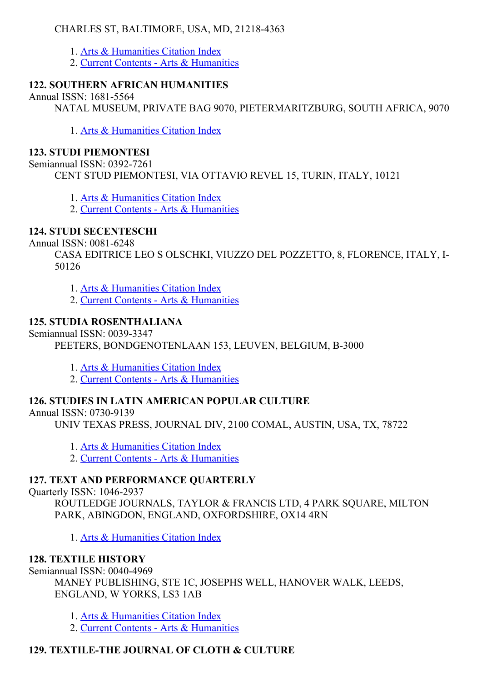## CHARLES ST, BALTIMORE, USA, MD, 21218-4363

- 1. Arts & [Humanities](http://thomsonreuters.com/arts-humanities-citation-index) Citation Index
- 2. Current Contents Arts & [Humanities](http://thomsonreuters.com/current-contents-connect)

# 122. SOUTHERN AFRICAN HUMANITIES

Annual ISSN: 1681-5564

NATAL MUSEUM, PRIVATE BAG 9070, PIETERMARITZBURG, SOUTH AFRICA, 9070

1. Arts & [Humanities](http://thomsonreuters.com/arts-humanities-citation-index) Citation Index

# 123. STUDI PIEMONTESI

Semiannual ISSN: 0392-7261 CENT STUD PIEMONTESI, VIA OTTAVIO REVEL 15, TURIN, ITALY, 10121

1. Arts & [Humanities](http://thomsonreuters.com/arts-humanities-citation-index) Citation Index

2. Current Contents - Arts & [Humanities](http://thomsonreuters.com/current-contents-connect)

# 124. STUDI SECENTESCHI

Annual ISSN: 0081-6248

CASA EDITRICE LEO S OLSCHKI, VIUZZO DEL POZZETTO, 8, FLORENCE, ITALY, I-50126

- 1. Arts & [Humanities](http://thomsonreuters.com/arts-humanities-citation-index) Citation Index
- 2. Current Contents Arts & [Humanities](http://thomsonreuters.com/current-contents-connect)

# 125. STUDIA ROSENTHALIANA

Semiannual ISSN: 0039-3347

PEETERS, BONDGENOTENLAAN 153, LEUVEN, BELGIUM, B-3000

- 1. Arts & [Humanities](http://thomsonreuters.com/arts-humanities-citation-index) Citation Index
- 2. Current Contents Arts & [Humanities](http://thomsonreuters.com/current-contents-connect)

# 126. STUDIES IN LATIN AMERICAN POPULAR CULTURE

Annual ISSN: 0730-9139

UNIV TEXAS PRESS, JOURNAL DIV, 2100 COMAL, AUSTIN, USA, TX, 78722

- 1. Arts & [Humanities](http://thomsonreuters.com/arts-humanities-citation-index) Citation Index
- 2. Current Contents Arts & [Humanities](http://thomsonreuters.com/current-contents-connect)

# 127. TEXT AND PERFORMANCE QUARTERLY

Ouarterly ISSN: 1046-2937

ROUTLEDGE JOURNALS, TAYLOR & FRANCIS LTD, 4 PARK SOUARE, MILTON PARK, ABINGDON, ENGLAND, OXFORDSHIRE, OX14 4RN

1. Arts & [Humanities](http://thomsonreuters.com/arts-humanities-citation-index) Citation Index

# 128. TEXTILE HISTORY

Semiannual ISSN:  $0040-4969$ 

MANEY PUBLISHING, STE 1C, JOSEPHS WELL, HANOVER WALK, LEEDS, ENGLAND, W YORKS, LS3 1AB

1. Arts & [Humanities](http://thomsonreuters.com/arts-humanities-citation-index) Citation Index

2. Current Contents - Arts & [Humanities](http://thomsonreuters.com/current-contents-connect)

# 129. TEXTILE-THE JOURNAL OF CLOTH & CULTURE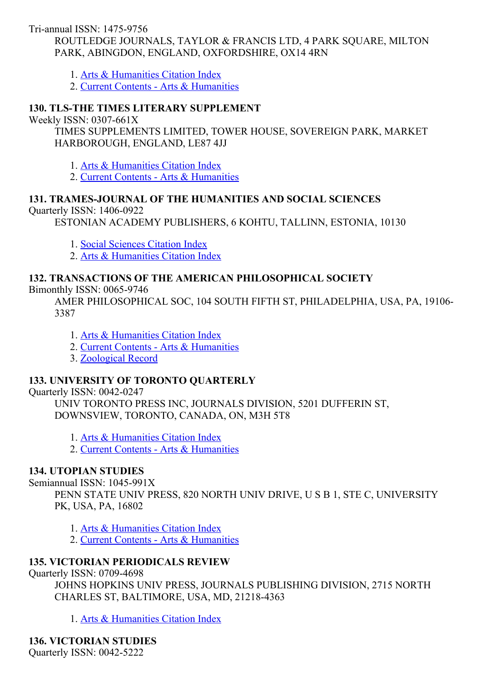Tri-annual ISSN: 1475-9756

ROUTLEDGE JOURNALS, TAYLOR & FRANCIS LTD, 4 PARK SOUARE, MILTON PARK, ABINGDON, ENGLAND, OXFORDSHIRE, OX14 4RN

1. Arts & [Humanities](http://thomsonreuters.com/arts-humanities-citation-index) Citation Index

2. Current Contents - Arts & [Humanities](http://thomsonreuters.com/current-contents-connect)

## 130. TLS-THE TIMES LITERARY SUPPLEMENT

Weekly ISSN:  $0307-661X$ 

TIMES SUPPLEMENTS LIMITED, TOWER HOUSE, SOVEREIGN PARK, MARKET HARBOROUGH, ENGLAND, LE87 4JJ

1. Arts & [Humanities](http://thomsonreuters.com/arts-humanities-citation-index) Citation Index

2. Current Contents - Arts & [Humanities](http://thomsonreuters.com/current-contents-connect)

### 131. TRAMESJOURNAL OF THE HUMANITIES AND SOCIAL SCIENCES

Quarterly ISSN: 1406-0922

ESTONIAN ACADEMY PUBLISHERS, 6 KOHTU, TALLINN, ESTONIA, 10130

1. Social [Sciences](http://thomsonreuters.com/social-sciences-citation-index) Citation Index

2. Arts & [Humanities](http://thomsonreuters.com/arts-humanities-citation-index) Citation Index

#### 132. TRANSACTIONS OF THE AMERICAN PHILOSOPHICAL SOCIETY

Bimonthly ISSN: 0065-9746

AMER PHILOSOPHICAL SOC, 104 SOUTH FIFTH ST, PHILADELPHIA, USA, PA, 19106 3387

1. Arts & [Humanities](http://thomsonreuters.com/arts-humanities-citation-index) Citation Index

2. Current Contents Arts & [Humanities](http://thomsonreuters.com/current-contents-connect)

3. [Zoological](http://thomsonreuters.com/zoological-record) Record

### 133. UNIVERSITY OF TORONTO QUARTERLY

Ouarterly ISSN: 0042-0247

UNIV TORONTO PRESS INC, JOURNALS DIVISION, 5201 DUFFERIN ST, DOWNSVIEW, TORONTO, CANADA, ON, M3H 5T8

1. Arts & [Humanities](http://thomsonreuters.com/arts-humanities-citation-index) Citation Index

2. Current Contents - Arts & [Humanities](http://thomsonreuters.com/current-contents-connect)

### 134. UTOPIAN STUDIES

#### Semiannual ISSN: 1045-991X

PENN STATE UNIV PRESS, 820 NORTH UNIV DRIVE, U S B 1, STE C, UNIVERSITY PK, USA, PA, 16802

1. Arts & [Humanities](http://thomsonreuters.com/arts-humanities-citation-index) Citation Index

2. Current Contents - Arts & [Humanities](http://thomsonreuters.com/current-contents-connect)

### 135. VICTORIAN PERIODICALS REVIEW

Quarterly ISSN: 0709-4698

JOHNS HOPKINS UNIV PRESS, JOURNALS PUBLISHING DIVISION, 2715 NORTH CHARLES ST, BALTIMORE, USA, MD, 21218-4363

1. Arts & [Humanities](http://thomsonreuters.com/arts-humanities-citation-index) Citation Index

136. VICTORIAN STUDIES

Quarterly ISSN: 0042-5222